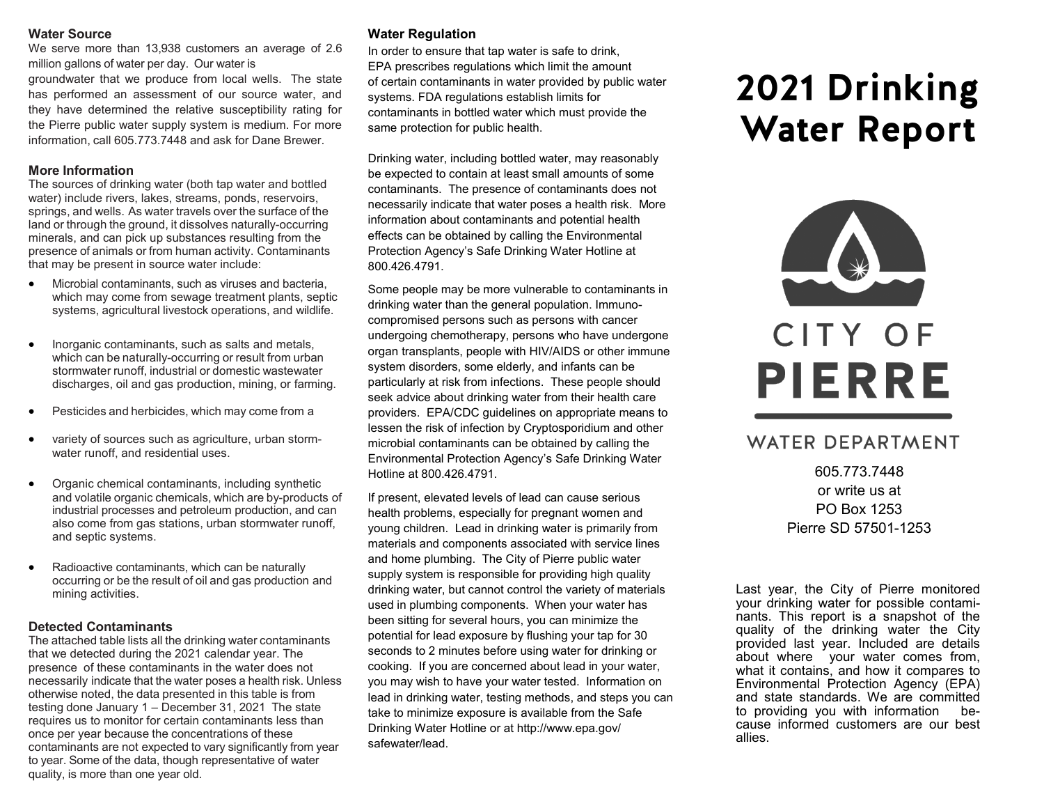#### **Water Source**

We serve more than 13,938 customers an average of 2.6 million gallons of water per day. Our water is

groundwater that we produce from local wells. The state has performed an assessment of our source water, and they have determined the relative susceptibility rating for the Pierre public water supply system is medium. For more information, call 605.773.7448 and ask for Dane Brewer.

### **More Information**

The sources of drinking water (both tap water and bottled water) include rivers, lakes, streams, ponds, reservoirs, springs, and wells. As water travels over the surface of the land or through the ground, it dissolves naturally-occurring minerals, and can pick up substances resulting from the presence of animals or from human activity. Contaminants that may be present in source water include:

- Microbial contaminants, such as viruses and bacteria, which may come from sewage treatment plants, septic systems, agricultural livestock operations, and wildlife.
- Inorganic contaminants, such as salts and metals, which can be naturally-occurring or result from urban stormwater runoff, industrial or domestic wastewater discharges, oil and gas production, mining, or farming.
- Pesticides and herbicides, which may come from a
- variety of sources such as agriculture, urban stormwater runoff, and residential uses.
- Organic chemical contaminants, including synthetic and volatile organic chemicals, which are by-products of industrial processes and petroleum production, and can also come from gas stations, urban stormwater runoff, and septic systems.
- Radioactive contaminants, which can be naturally occurring or be the result of oil and gas production and mining activities.

### **Detected Contaminants**

The attached table lists all the drinking water contaminants that we detected during the 2021 calendar year. The presence of these contaminants in the water does not necessarily indicate that the water poses a health risk. Unless otherwise noted, the data presented in this table is from testing done January 1 – December 31, 2021 The state requires us to monitor for certain contaminants less than once per year because the concentrations of these contaminants are not expected to vary significantly from year to year. Some of the data, though representative of water quality, is more than one year old.

## **Water Regulation**

In order to ensure that tap water is safe to drink, EPA prescribes regulations which limit the amount of certain contaminants in water provided by public water systems. FDA regulations establish limits for contaminants in bottled water which must provide the same protection for public health.

Drinking water, including bottled water, may reasonably be expected to contain at least small amounts of some contaminants. The presence of contaminants does not necessarily indicate that water poses a health risk. More information about contaminants and potential health effects can be obtained by calling the Environmental Protection Agency's Safe Drinking Water Hotline at 800.426.4791.

Some people may be more vulnerable to contaminants in drinking water than the general population. Immunocompromised persons such as persons with cancer undergoing chemotherapy, persons who have undergone organ transplants, people with HIV/AIDS or other immune system disorders, some elderly, and infants can be particularly at risk from infections. These people should seek advice about drinking water from their health care providers. EPA/CDC guidelines on appropriate means to lessen the risk of infection by Cryptosporidium and other microbial contaminants can be obtained by calling the Environmental Protection Agency's Safe Drinking Water Hotline at 800.426.4791.

If present, elevated levels of lead can cause serious health problems, especially for pregnant women and young children. Lead in drinking water is primarily from materials and components associated with service lines and home plumbing. The City of Pierre public water supply system is responsible for providing high quality drinking water, but cannot control the variety of materials used in plumbing components. When your water has been sitting for several hours, you can minimize the potential for lead exposure by flushing your tap for 30 seconds to 2 minutes before using water for drinking or cooking. If you are concerned about lead in your water, you may wish to have your water tested. Information on lead in drinking water, testing methods, and steps you can take to minimize exposure is available from the Safe Drinking Water Hotline or at http://www.epa.gov/ safewater/lead.

# 2021 Drinking **Water Report**



# CITY OF **PIERRE**

# WATER DEPARTMENT

605.773.7448 or write us at PO Box 1253 Pierre SD 57501-1253

Last year, the City of Pierre monitored your drinking water for possible contaminants. This report is a snapshot of the quality of the drinking water the City provided last year. Included are details about where your water comes from, what it contains, and how it compares to Environmental Protection Agency (EPA) and state standards. We are committed to providing you with information because informed customers are our best allies.